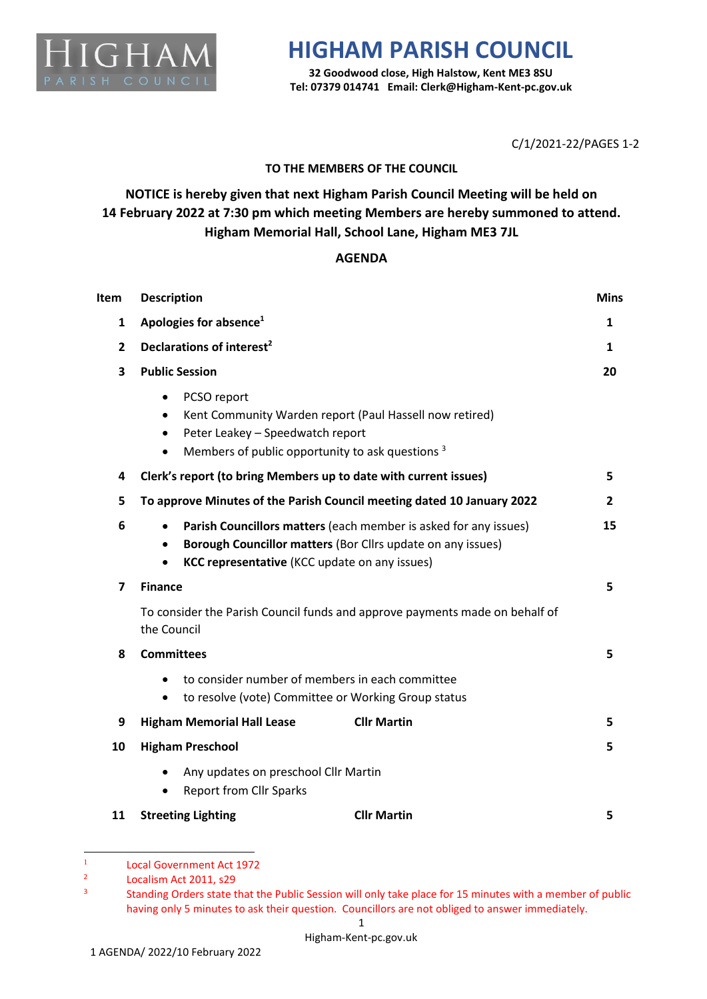

## **HIGHAM PARISH COUNCIL**

**32 Goodwood close, High Halstow, Kent ME3 8SU Tel: 07379 014741 Email: Clerk@Higham-Kent-pc.gov.uk**

C/1/2021-22/PAGES 1-2

## **TO THE MEMBERS OF THE COUNCIL**

**NOTICE is hereby given that next Higham Parish Council Meeting will be held on 14 February 2022 at 7:30 pm which meeting Members are hereby summoned to attend. Higham Memorial Hall, School Lane, Higham ME3 7JL**

## **AGENDA**

| Item           | <b>Description</b>                                                                                                                                                                                                 |    |  |
|----------------|--------------------------------------------------------------------------------------------------------------------------------------------------------------------------------------------------------------------|----|--|
| 1              | Apologies for absence <sup>1</sup>                                                                                                                                                                                 |    |  |
| $\overline{2}$ | Declarations of interest <sup>2</sup>                                                                                                                                                                              |    |  |
| 3              | <b>Public Session</b>                                                                                                                                                                                              |    |  |
|                | PCSO report<br>$\bullet$<br>Kent Community Warden report (Paul Hassell now retired)<br>$\bullet$<br>Peter Leakey - Speedwatch report<br>$\bullet$<br>Members of public opportunity to ask questions 3<br>$\bullet$ |    |  |
| 4              | Clerk's report (to bring Members up to date with current issues)                                                                                                                                                   | 5  |  |
| 5              | To approve Minutes of the Parish Council meeting dated 10 January 2022                                                                                                                                             | 2  |  |
| 6              | Parish Councillors matters (each member is asked for any issues)<br>$\bullet$<br>Borough Councillor matters (Bor Cllrs update on any issues)<br>KCC representative (KCC update on any issues)                      |    |  |
| 7              | <b>Finance</b>                                                                                                                                                                                                     | 5  |  |
|                | To consider the Parish Council funds and approve payments made on behalf of<br>the Council                                                                                                                         |    |  |
| 8              | <b>Committees</b>                                                                                                                                                                                                  | 5  |  |
|                | to consider number of members in each committee<br>to resolve (vote) Committee or Working Group status<br>$\bullet$                                                                                                |    |  |
| 9              | <b>Higham Memorial Hall Lease</b><br><b>Cllr Martin</b>                                                                                                                                                            | 5. |  |
| 10             | <b>Higham Preschool</b>                                                                                                                                                                                            | 5. |  |
|                | Any updates on preschool Cllr Martin<br><b>Report from Cllr Sparks</b>                                                                                                                                             |    |  |
| 11             | <b>Cllr Martin</b><br><b>Streeting Lighting</b>                                                                                                                                                                    | 5  |  |

<sup>1</sup> Local Government Act 1972

<sup>2</sup> Localism Act 2011, s29

<sup>3</sup> Standing Orders state that the Public Session will only take place for 15 minutes with a member of public having only 5 minutes to ask their question. Councillors are not obliged to answer immediately.